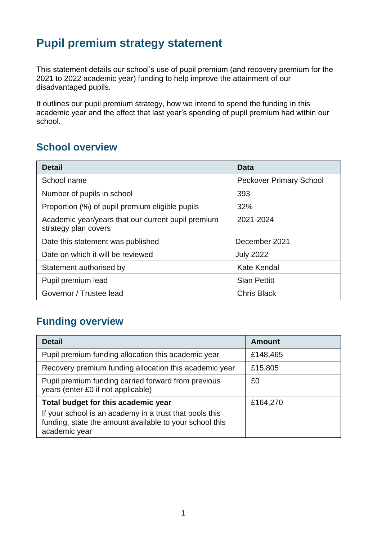# **Pupil premium strategy statement**

This statement details our school's use of pupil premium (and recovery premium for the 2021 to 2022 academic year) funding to help improve the attainment of our disadvantaged pupils.

It outlines our pupil premium strategy, how we intend to spend the funding in this academic year and the effect that last year's spending of pupil premium had within our school.

#### **School overview**

| <b>Detail</b>                                                              | Data                           |
|----------------------------------------------------------------------------|--------------------------------|
| School name                                                                | <b>Peckover Primary School</b> |
| Number of pupils in school                                                 | 393                            |
| Proportion (%) of pupil premium eligible pupils                            | 32%                            |
| Academic year/years that our current pupil premium<br>strategy plan covers | 2021-2024                      |
| Date this statement was published                                          | December 2021                  |
| Date on which it will be reviewed                                          | <b>July 2022</b>               |
| Statement authorised by                                                    | <b>Kate Kendal</b>             |
| Pupil premium lead                                                         | <b>Sian Pettitt</b>            |
| Governor / Trustee lead                                                    | <b>Chris Black</b>             |

### **Funding overview**

| <b>Detail</b>                                                                                                                       | <b>Amount</b> |
|-------------------------------------------------------------------------------------------------------------------------------------|---------------|
| Pupil premium funding allocation this academic year                                                                                 | £148,465      |
| Recovery premium funding allocation this academic year                                                                              | £15,805       |
| Pupil premium funding carried forward from previous<br>years (enter £0 if not applicable)                                           | £0            |
| Total budget for this academic year                                                                                                 | £164,270      |
| If your school is an academy in a trust that pools this<br>funding, state the amount available to your school this<br>academic year |               |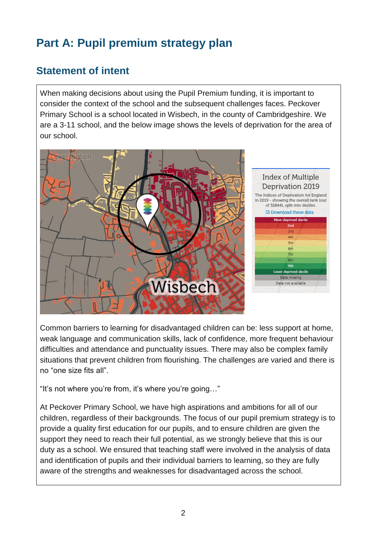# **Part A: Pupil premium strategy plan**

## **Statement of intent**

When making decisions about using the Pupil Premium funding, it is important to consider the context of the school and the subsequent challenges faces. Peckover Primary School is a school located in Wisbech, in the county of Cambridgeshire. We are a 3-11 school, and the below image shows the levels of deprivation for the area of our school.



Common barriers to learning for disadvantaged children can be: less support at home, weak language and communication skills, lack of confidence, more frequent behaviour difficulties and attendance and punctuality issues. There may also be complex family situations that prevent children from flourishing. The challenges are varied and there is no "one size fits all".

"It's not where you're from, it's where you're going…"

At Peckover Primary School, we have high aspirations and ambitions for all of our children, regardless of their backgrounds. The focus of our pupil premium strategy is to provide a quality first education for our pupils, and to ensure children are given the support they need to reach their full potential, as we strongly believe that this is our duty as a school. We ensured that teaching staff were involved in the analysis of data and identification of pupils and their individual barriers to learning, so they are fully aware of the strengths and weaknesses for disadvantaged across the school.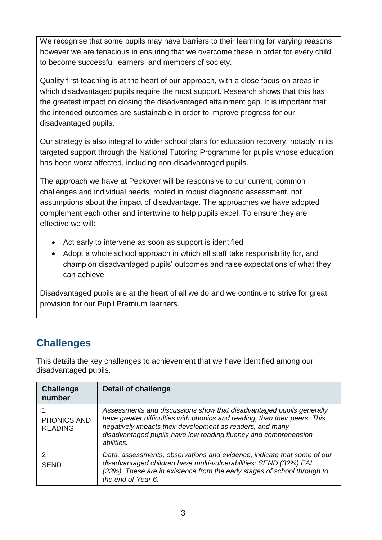We recognise that some pupils may have barriers to their learning for varying reasons, however we are tenacious in ensuring that we overcome these in order for every child to become successful learners, and members of society.

Quality first teaching is at the heart of our approach, with a close focus on areas in which disadvantaged pupils require the most support. Research shows that this has the greatest impact on closing the disadvantaged attainment gap. It is important that the intended outcomes are sustainable in order to improve progress for our disadvantaged pupils.

Our strategy is also integral to wider school plans for education recovery, notably in its targeted support through the National Tutoring Programme for pupils whose education has been worst affected, including non-disadvantaged pupils.

The approach we have at Peckover will be responsive to our current, common challenges and individual needs, rooted in robust diagnostic assessment, not assumptions about the impact of disadvantage. The approaches we have adopted complement each other and intertwine to help pupils excel. To ensure they are effective we will:

- Act early to intervene as soon as support is identified
- Adopt a whole school approach in which all staff take responsibility for, and champion disadvantaged pupils' outcomes and raise expectations of what they can achieve

Disadvantaged pupils are at the heart of all we do and we continue to strive for great provision for our Pupil Premium learners.

### **Challenges**

This details the key challenges to achievement that we have identified among our disadvantaged pupils.

| <b>Challenge</b><br>number           | Detail of challenge                                                                                                                                                                                                                                                                              |
|--------------------------------------|--------------------------------------------------------------------------------------------------------------------------------------------------------------------------------------------------------------------------------------------------------------------------------------------------|
| <b>PHONICS AND</b><br><b>READING</b> | Assessments and discussions show that disadvantaged pupils generally<br>have greater difficulties with phonics and reading, than their peers. This<br>negatively impacts their development as readers, and many<br>disadvantaged pupils have low reading fluency and comprehension<br>abilities. |
| <b>SEND</b>                          | Data, assessments, observations and evidence, indicate that some of our<br>disadvantaged children have multi-vulnerabilities: SEND (32%) EAL<br>(33%). These are in existence from the early stages of school through to<br>the end of Year 6.                                                   |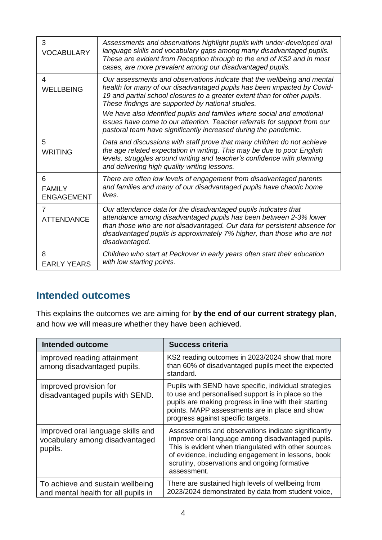| 3<br><b>VOCABULARY</b>                  | Assessments and observations highlight pupils with under-developed oral<br>language skills and vocabulary gaps among many disadvantaged pupils.<br>These are evident from Reception through to the end of KS2 and in most<br>cases, are more prevalent among our disadvantaged pupils.                                                                                                                                                                                                                         |
|-----------------------------------------|----------------------------------------------------------------------------------------------------------------------------------------------------------------------------------------------------------------------------------------------------------------------------------------------------------------------------------------------------------------------------------------------------------------------------------------------------------------------------------------------------------------|
| 4<br><b>WELLBEING</b>                   | Our assessments and observations indicate that the wellbeing and mental<br>health for many of our disadvantaged pupils has been impacted by Covid-<br>19 and partial school closures to a greater extent than for other pupils.<br>These findings are supported by national studies.<br>We have also identified pupils and families where social and emotional<br>issues have come to our attention. Teacher referrals for support from our<br>pastoral team have significantly increased during the pandemic. |
| 5<br><b>WRITING</b>                     | Data and discussions with staff prove that many children do not achieve<br>the age related expectation in writing. This may be due to poor English<br>levels, struggles around writing and teacher's confidence with planning<br>and delivering high quality writing lessons.                                                                                                                                                                                                                                  |
| 6<br><b>FAMILY</b><br><b>ENGAGEMENT</b> | There are often low levels of engagement from disadvantaged parents<br>and families and many of our disadvantaged pupils have chaotic home<br>lives.                                                                                                                                                                                                                                                                                                                                                           |
| 7<br><b>ATTENDANCE</b>                  | Our attendance data for the disadvantaged pupils indicates that<br>attendance among disadvantaged pupils has been between 2-3% lower<br>than those who are not disadvantaged. Our data for persistent absence for<br>disadvantaged pupils is approximately 7% higher, than those who are not<br>disadvantaged.                                                                                                                                                                                                 |
| 8<br><b>EARLY YEARS</b>                 | Children who start at Peckover in early years often start their education<br>with low starting points.                                                                                                                                                                                                                                                                                                                                                                                                         |

#### **Intended outcomes**

This explains the outcomes we are aiming for **by the end of our current strategy plan**, and how we will measure whether they have been achieved.

| <b>Intended outcome</b>                                                        | <b>Success criteria</b>                                                                                                                                                                                                                                                               |
|--------------------------------------------------------------------------------|---------------------------------------------------------------------------------------------------------------------------------------------------------------------------------------------------------------------------------------------------------------------------------------|
| Improved reading attainment<br>among disadvantaged pupils.                     | KS2 reading outcomes in 2023/2024 show that more<br>than 60% of disadvantaged pupils meet the expected<br>standard.                                                                                                                                                                   |
| Improved provision for<br>disadvantaged pupils with SEND.                      | Pupils with SEND have specific, individual strategies<br>to use and personalised support is in place so the<br>pupils are making progress in line with their starting<br>points. MAPP assessments are in place and show<br>progress against specific targets.                         |
| Improved oral language skills and<br>vocabulary among disadvantaged<br>pupils. | Assessments and observations indicate significantly<br>improve oral language among disadvantaged pupils.<br>This is evident when triangulated with other sources<br>of evidence, including engagement in lessons, book<br>scrutiny, observations and ongoing formative<br>assessment. |
| To achieve and sustain wellbeing<br>and mental health for all pupils in        | There are sustained high levels of wellbeing from<br>2023/2024 demonstrated by data from student voice,                                                                                                                                                                               |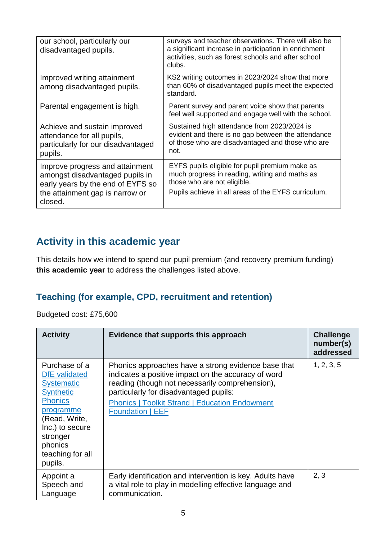| our school, particularly our<br>disadvantaged pupils.                                                                                                 | surveys and teacher observations. There will also be<br>a significant increase in participation in enrichment<br>activities, such as forest schools and after school<br>clubs.         |
|-------------------------------------------------------------------------------------------------------------------------------------------------------|----------------------------------------------------------------------------------------------------------------------------------------------------------------------------------------|
| Improved writing attainment<br>among disadvantaged pupils.                                                                                            | KS2 writing outcomes in 2023/2024 show that more<br>than 60% of disadvantaged pupils meet the expected<br>standard.                                                                    |
| Parental engagement is high.                                                                                                                          | Parent survey and parent voice show that parents<br>feel well supported and engage well with the school.                                                                               |
| Achieve and sustain improved<br>attendance for all pupils,<br>particularly for our disadvantaged<br>pupils.                                           | Sustained high attendance from 2023/2024 is<br>evident and there is no gap between the attendance<br>of those who are disadvantaged and those who are<br>not.                          |
| Improve progress and attainment<br>amongst disadvantaged pupils in<br>early years by the end of EYFS so<br>the attainment gap is narrow or<br>closed. | EYFS pupils eligible for pupil premium make as<br>much progress in reading, writing and maths as<br>those who are not eligible.<br>Pupils achieve in all areas of the EYFS curriculum. |

## **Activity in this academic year**

This details how we intend to spend our pupil premium (and recovery premium funding) **this academic year** to address the challenges listed above.

#### **Teaching (for example, CPD, recruitment and retention)**

Budgeted cost: £75,600

| <b>Activity</b>                                                                                                                                                                                  | Evidence that supports this approach                                                                                                                                                                                                                                                        | <b>Challenge</b><br>number(s)<br>addressed |
|--------------------------------------------------------------------------------------------------------------------------------------------------------------------------------------------------|---------------------------------------------------------------------------------------------------------------------------------------------------------------------------------------------------------------------------------------------------------------------------------------------|--------------------------------------------|
| Purchase of a<br>DfE validated<br><b>Systematic</b><br><b>Synthetic</b><br><b>Phonics</b><br>programme<br>(Read, Write,<br>Inc.) to secure<br>stronger<br>phonics<br>teaching for all<br>pupils. | Phonics approaches have a strong evidence base that<br>indicates a positive impact on the accuracy of word<br>reading (though not necessarily comprehension),<br>particularly for disadvantaged pupils:<br><b>Phonics   Toolkit Strand   Education Endowment</b><br><b>Foundation   EEF</b> | 1, 2, 3, 5                                 |
| Appoint a<br>Speech and<br>Language                                                                                                                                                              | Early identification and intervention is key. Adults have<br>a vital role to play in modelling effective language and<br>communication.                                                                                                                                                     | 2, 3                                       |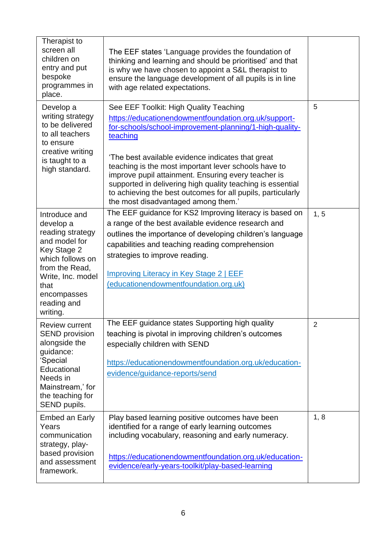| Therapist to<br>screen all<br>children on<br>entry and put<br>bespoke<br>programmes in<br>place.                                                                                            | The EEF states 'Language provides the foundation of<br>thinking and learning and should be prioritised' and that<br>is why we have chosen to appoint a S&L therapist to<br>ensure the language development of all pupils is in line<br>with age related expectations.                                                                                                                                                                                                                                        |      |
|---------------------------------------------------------------------------------------------------------------------------------------------------------------------------------------------|--------------------------------------------------------------------------------------------------------------------------------------------------------------------------------------------------------------------------------------------------------------------------------------------------------------------------------------------------------------------------------------------------------------------------------------------------------------------------------------------------------------|------|
| Develop a<br>writing strategy<br>to be delivered<br>to all teachers<br>to ensure<br>creative writing<br>is taught to a<br>high standard.                                                    | See EEF Toolkit: High Quality Teaching<br>https://educationendowmentfoundation.org.uk/support-<br>for-schools/school-improvement-planning/1-high-quality-<br>teaching<br>The best available evidence indicates that great<br>teaching is the most important lever schools have to<br>improve pupil attainment. Ensuring every teacher is<br>supported in delivering high quality teaching is essential<br>to achieving the best outcomes for all pupils, particularly<br>the most disadvantaged among them.' | 5    |
| Introduce and<br>develop a<br>reading strategy<br>and model for<br>Key Stage 2<br>which follows on<br>from the Read,<br>Write, Inc. model<br>that<br>encompasses<br>reading and<br>writing. | The EEF guidance for KS2 Improving literacy is based on<br>a range of the best available evidence research and<br>outlines the importance of developing children's language<br>capabilities and teaching reading comprehension<br>strategies to improve reading.<br><b>Improving Literacy in Key Stage 2   EEF</b><br>(educationendowmentfoundation.org.uk)                                                                                                                                                  | 1, 5 |
| Review current<br><b>SEND provision</b><br>alongside the<br>guidance:<br>'Special<br>Educational<br>Needs in<br>Mainstream,' for<br>the teaching for<br>SEND pupils.                        | The EEF guidance states Supporting high quality<br>teaching is pivotal in improving children's outcomes<br>especially children with SEND<br>https://educationendowmentfoundation.org.uk/education-<br>evidence/guidance-reports/send                                                                                                                                                                                                                                                                         | 2    |
| <b>Embed an Early</b><br>Years<br>communication<br>strategy, play-<br>based provision<br>and assessment<br>framework.                                                                       | Play based learning positive outcomes have been<br>identified for a range of early learning outcomes<br>including vocabulary, reasoning and early numeracy.<br>https://educationendowmentfoundation.org.uk/education-<br>evidence/early-years-toolkit/play-based-learning                                                                                                                                                                                                                                    | 1, 8 |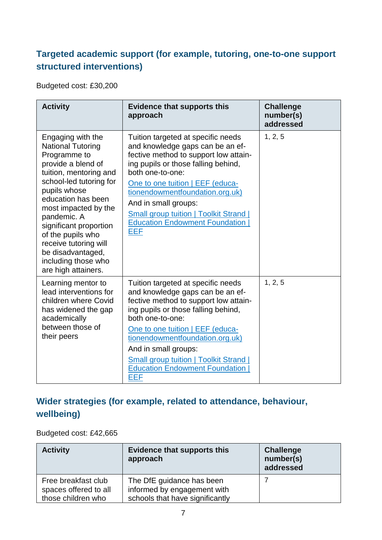#### **Targeted academic support (for example, tutoring, one-to-one support structured interventions)**

Budgeted cost: £30,200

| <b>Activity</b>                                                                                                                                                                                                                                                                                                                                                  | <b>Evidence that supports this</b><br>approach                                                                                                                                                                                                                                                                                                                                    | <b>Challenge</b><br>number(s)<br>addressed |
|------------------------------------------------------------------------------------------------------------------------------------------------------------------------------------------------------------------------------------------------------------------------------------------------------------------------------------------------------------------|-----------------------------------------------------------------------------------------------------------------------------------------------------------------------------------------------------------------------------------------------------------------------------------------------------------------------------------------------------------------------------------|--------------------------------------------|
| Engaging with the<br><b>National Tutoring</b><br>Programme to<br>provide a blend of<br>tuition, mentoring and<br>school-led tutoring for<br>pupils whose<br>education has been<br>most impacted by the<br>pandemic. A<br>significant proportion<br>of the pupils who<br>receive tutoring will<br>be disadvantaged,<br>including those who<br>are high attainers. | Tuition targeted at specific needs<br>and knowledge gaps can be an ef-<br>fective method to support low attain-<br>ing pupils or those falling behind,<br>both one-to-one:<br>One to one tuition   EEF (educa-<br>tionendowmentfoundation.org.uk)<br>And in small groups:<br><b>Small group tuition   Toolkit Strand  </b><br><b>Education Endowment Foundation</b><br><b>EEF</b> | 1, 2, 5                                    |
| Learning mentor to<br>lead interventions for<br>children where Covid<br>has widened the gap<br>academically<br>between those of<br>their peers                                                                                                                                                                                                                   | Tuition targeted at specific needs<br>and knowledge gaps can be an ef-<br>fective method to support low attain-<br>ing pupils or those falling behind,<br>both one-to-one:<br>One to one tuition   EEF (educa-<br>tionendowmentfoundation.org.uk)<br>And in small groups:<br><b>Small group tuition   Toolkit Strand  </b><br><b>Education Endowment Foundation</b><br>EEF        | 1, 2, 5                                    |

### **Wider strategies (for example, related to attendance, behaviour, wellbeing)**

#### Budgeted cost: £42,665

| <b>Activity</b>                                                    | <b>Evidence that supports this</b><br>approach                                              | <b>Challenge</b><br>number(s)<br>addressed |
|--------------------------------------------------------------------|---------------------------------------------------------------------------------------------|--------------------------------------------|
| Free breakfast club<br>spaces offered to all<br>those children who | The DfE guidance has been<br>informed by engagement with<br>schools that have significantly |                                            |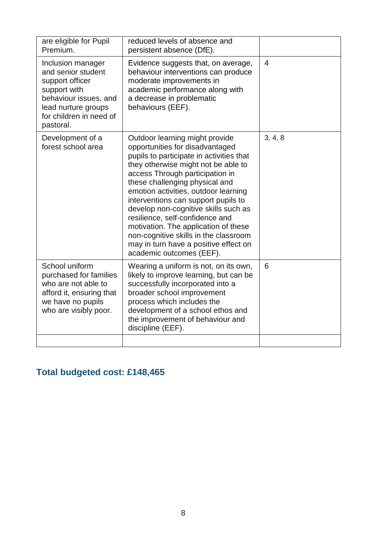| are eligible for Pupil<br>Premium.                                                                                                                                 | reduced levels of absence and<br>persistent absence (DfE).                                                                                                                                                                                                                                                                                                                                                                                                                                                                                |                |
|--------------------------------------------------------------------------------------------------------------------------------------------------------------------|-------------------------------------------------------------------------------------------------------------------------------------------------------------------------------------------------------------------------------------------------------------------------------------------------------------------------------------------------------------------------------------------------------------------------------------------------------------------------------------------------------------------------------------------|----------------|
| Inclusion manager<br>and senior student<br>support officer<br>support with<br>behaviour issues, and<br>lead nurture groups<br>for children in need of<br>pastoral. | Evidence suggests that, on average,<br>behaviour interventions can produce<br>moderate improvements in<br>academic performance along with<br>a decrease in problematic<br>behaviours (EEF).                                                                                                                                                                                                                                                                                                                                               | $\overline{4}$ |
| Development of a<br>forest school area                                                                                                                             | Outdoor learning might provide<br>opportunities for disadvantaged<br>pupils to participate in activities that<br>they otherwise might not be able to<br>access Through participation in<br>these challenging physical and<br>emotion activities, outdoor learning<br>interventions can support pupils to<br>develop non-cognitive skills such as<br>resilience, self-confidence and<br>motivation. The application of these<br>non-cognitive skills in the classroom<br>may in turn have a positive effect on<br>academic outcomes (EEF). | 3, 4, 8        |
| School uniform<br>purchased for families<br>who are not able to<br>afford it, ensuring that<br>we have no pupils<br>who are visibly poor.                          | Wearing a uniform is not, on its own,<br>likely to improve learning, but can be<br>successfully incorporated into a<br>broader school improvement<br>process which includes the<br>development of a school ethos and<br>the improvement of behaviour and<br>discipline (EEF).                                                                                                                                                                                                                                                             | 6              |

# **Total budgeted cost: £148,465**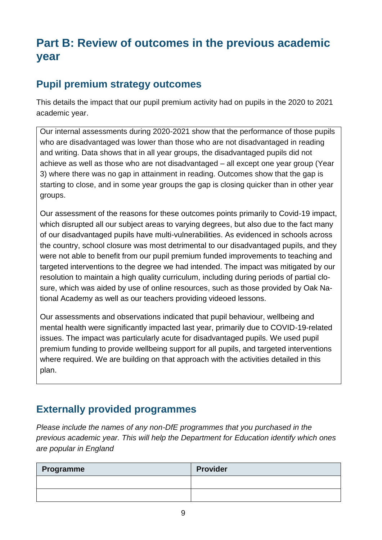# **Part B: Review of outcomes in the previous academic year**

### **Pupil premium strategy outcomes**

This details the impact that our pupil premium activity had on pupils in the 2020 to 2021 academic year.

Our internal assessments during 2020-2021 show that the performance of those pupils who are disadvantaged was lower than those who are not disadvantaged in reading and writing. Data shows that in all year groups, the disadvantaged pupils did not achieve as well as those who are not disadvantaged – all except one year group (Year 3) where there was no gap in attainment in reading. Outcomes show that the gap is starting to close, and in some year groups the gap is closing quicker than in other year groups.

Our assessment of the reasons for these outcomes points primarily to Covid-19 impact, which disrupted all our subject areas to varying degrees, but also due to the fact many of our disadvantaged pupils have multi-vulnerabilities. As evidenced in schools across the country, school closure was most detrimental to our disadvantaged pupils, and they were not able to benefit from our pupil premium funded improvements to teaching and targeted interventions to the degree we had intended. The impact was mitigated by our resolution to maintain a high quality curriculum, including during periods of partial closure, which was aided by use of online resources, such as those provided by Oak National Academy as well as our teachers providing videoed lessons.

Our assessments and observations indicated that pupil behaviour, wellbeing and mental health were significantly impacted last year, primarily due to COVID-19-related issues. The impact was particularly acute for disadvantaged pupils. We used pupil premium funding to provide wellbeing support for all pupils, and targeted interventions where required. We are building on that approach with the activities detailed in this plan.

#### **Externally provided programmes**

*Please include the names of any non-DfE programmes that you purchased in the previous academic year. This will help the Department for Education identify which ones are popular in England*

| Programme | <b>Provider</b> |
|-----------|-----------------|
|           |                 |
|           |                 |